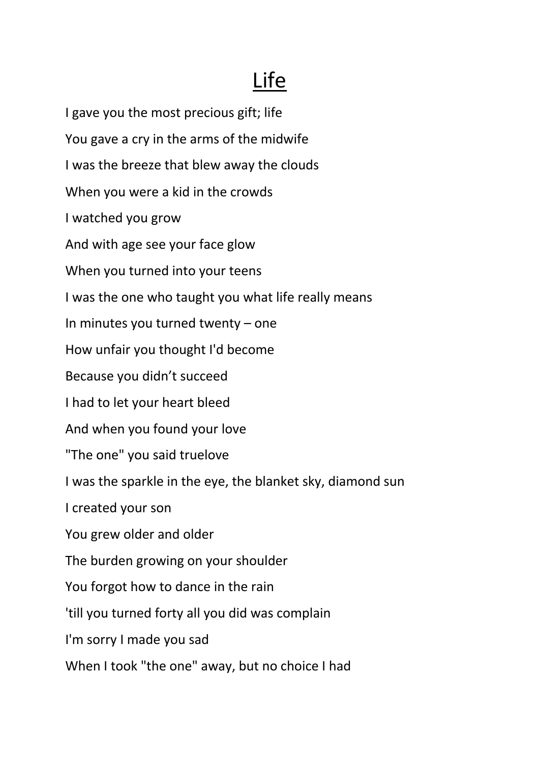## Life

I gave you the most precious gift; life You gave a cry in the arms of the midwife I was the breeze that blew away the clouds When you were a kid in the crowds I watched you grow And with age see your face glow When you turned into your teens I was the one who taught you what life really means In minutes you turned twenty – one How unfair you thought I'd become Because you didn't succeed I had to let your heart bleed And when you found your love "The one" you said truelove I was the sparkle in the eye, the blanket sky, diamond sun I created your son You grew older and older The burden growing on your shoulder You forgot how to dance in the rain 'till you turned forty all you did was complain I'm sorry I made you sad When I took "the one" away, but no choice I had